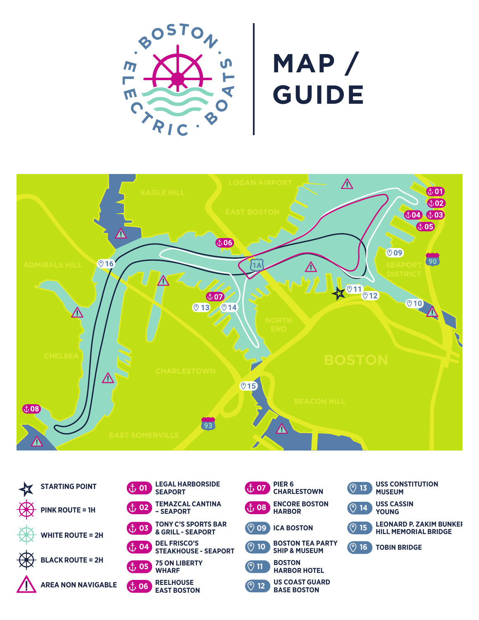

## **MAP / GUIDE**





| <u>្រំ</u> 01                        | <b>LEGAL HARBORSIDE</b><br><b>SEAPORT</b>          |
|--------------------------------------|----------------------------------------------------|
| <u>ៃ02 ស</u>                         | <b>TEMAZCAL CANTINA</b><br>- SEAPORT               |
| $\mathring{\mathbb{L}}$ , 03         | <b>TONY C'S SPORTS BAR</b><br>& GRILL - SEAPORT    |
| <u>ຳ, 04</u>                         | <b>DEL FRISCO'S</b><br><b>STEAKHOUSE - SEAPORT</b> |
| ${\rm \textbf{f}}$ , 05 $^{\degree}$ | <b>75 ON LIBERTY</b><br>WHARF                      |
| $2$ , 06                             | <b>REELHOUSE</b><br><b>EAST BOSTON</b>             |

| PIER <sub>6</sub><br>ີ ±, 07<br><b>CHARLESTOWN</b>             | <b>USS CONSTITUTION</b><br>$\circ$ 13<br><b>MUSEUM</b>                         |
|----------------------------------------------------------------|--------------------------------------------------------------------------------|
| <b>ENCORE BOSTON</b><br><b>HARBOR</b>                          | <b>USS CASSIN</b><br>⊚<br>14<br><b>YOUNG</b>                                   |
| ⊚<br><b>ICA BOSTON</b><br>09                                   | <b>LEONARD P. ZAKIM BUNKEI</b><br>$\odot$<br>15<br><b>HILL MEMORIAL BRIDGE</b> |
| <b>BOSTON TEA PARTY</b><br>೧<br>10<br><b>SHIP &amp; MUSEUM</b> | ⊙<br>16<br><b>TOBIN BRIDGE</b>                                                 |
| <b>BOSTON</b><br>$\odot$ 11/<br><b>HARBOR HOTEL</b>            |                                                                                |
| <b>US COAST GUARD</b><br>൞<br>12                               |                                                                                |

**BASE BOSTON**

**12**

 $\odot$